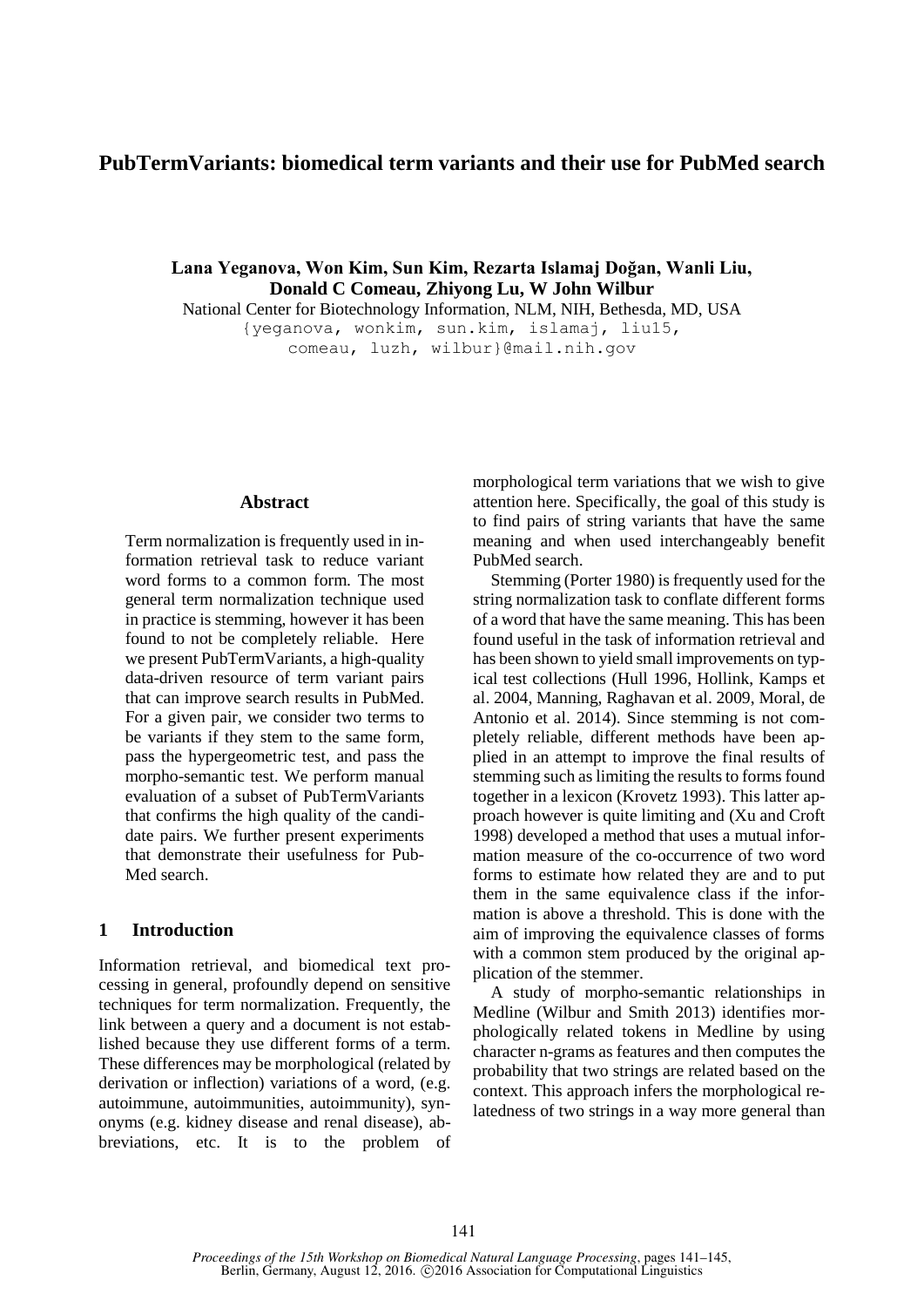# **PubTermVariants: biomedical term variants and their use for PubMed search**

**Lana Yeganova, Won Kim, Sun Kim, Rezarta Islamaj Doğan, Wanli Liu, Donald C Comeau, Zhiyong Lu, W John Wilbur**

National Center for Biotechnology Information, NLM, NIH, Bethesda, MD, USA {yeganova, wonkim, sun.kim, islamaj, liu15, comeau, luzh, wilbur}@mail.nih.gov

#### **Abstract**

Term normalization is frequently used in information retrieval task to reduce variant word forms to a common form. The most general term normalization technique used in practice is stemming, however it has been found to not be completely reliable. Here we present PubTermVariants, a high-quality data-driven resource of term variant pairs that can improve search results in PubMed. For a given pair, we consider two terms to be variants if they stem to the same form, pass the hypergeometric test, and pass the morpho-semantic test. We perform manual evaluation of a subset of PubTermVariants that confirms the high quality of the candidate pairs. We further present experiments that demonstrate their usefulness for Pub-Med search.

#### **1 Introduction**

Information retrieval, and biomedical text processing in general, profoundly depend on sensitive techniques for term normalization. Frequently, the link between a query and a document is not established because they use different forms of a term. These differences may be morphological (related by derivation or inflection) variations of a word, (e.g. autoimmune, autoimmunities, autoimmunity), synonyms (e.g. kidney disease and renal disease), abbreviations, etc. It is to the problem of

morphological term variations that we wish to give attention here. Specifically, the goal of this study is to find pairs of string variants that have the same meaning and when used interchangeably benefit PubMed search.

Stemming (Porter 1980) is frequently used for the string normalization task to conflate different forms of a word that have the same meaning. This has been found useful in the task of information retrieval and has been shown to yield small improvements on typical test collections (Hull 1996, Hollink, Kamps et al. 2004, Manning, Raghavan et al. 2009, Moral, de Antonio et al. 2014). Since stemming is not completely reliable, different methods have been applied in an attempt to improve the final results of stemming such as limiting the results to forms found together in a lexicon (Krovetz 1993). This latter approach however is quite limiting and (Xu and Croft 1998) developed a method that uses a mutual information measure of the co-occurrence of two word forms to estimate how related they are and to put them in the same equivalence class if the information is above a threshold. This is done with the aim of improving the equivalence classes of forms with a common stem produced by the original application of the stemmer.

A study of morpho-semantic relationships in Medline (Wilbur and Smith 2013) identifies morphologically related tokens in Medline by using character n-grams as features and then computes the probability that two strings are related based on the context. This approach infers the morphological relatedness of two strings in a way more general than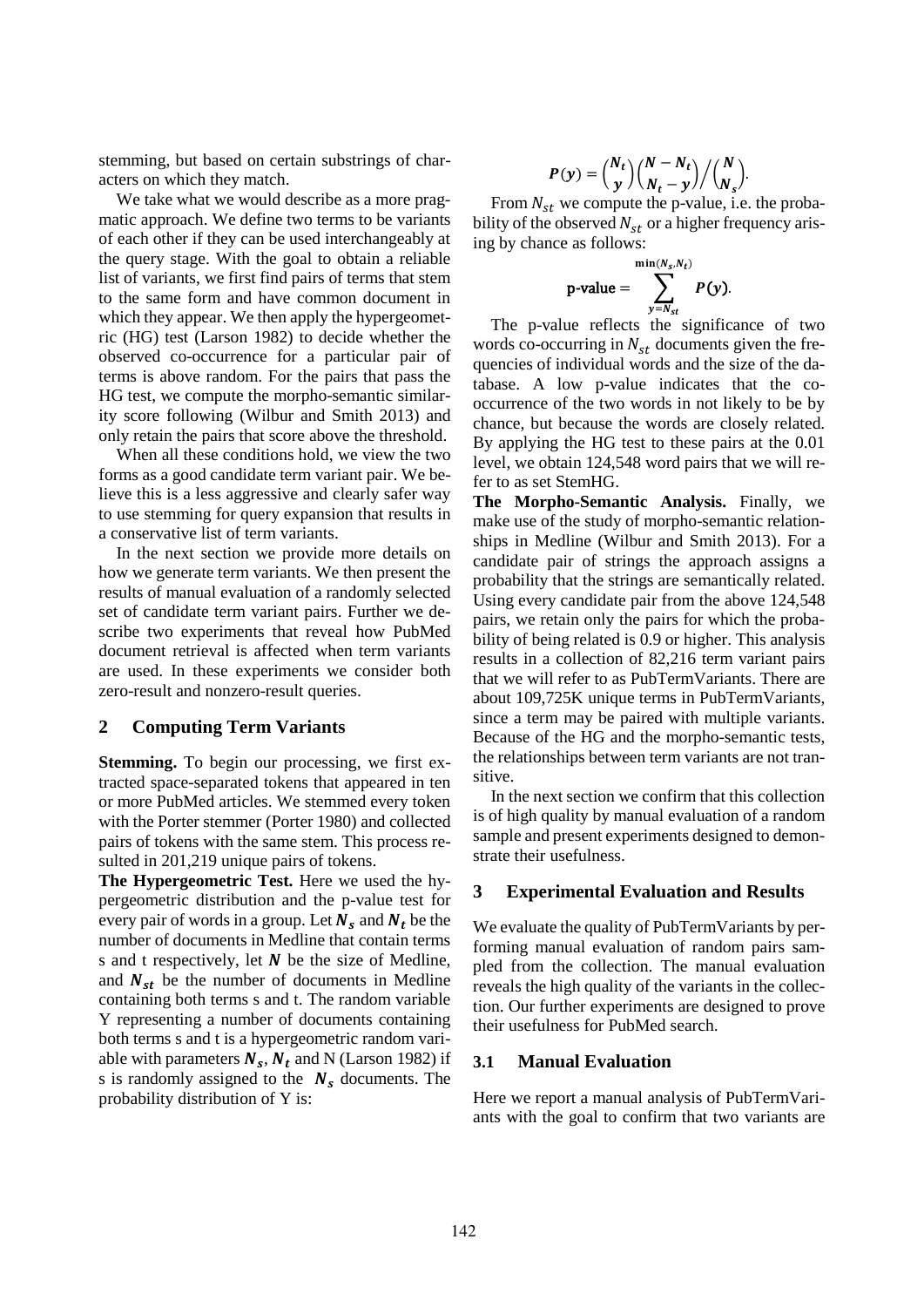stemming, but based on certain substrings of characters on which they match.

We take what we would describe as a more pragmatic approach. We define two terms to be variants of each other if they can be used interchangeably at the query stage. With the goal to obtain a reliable list of variants, we first find pairs of terms that stem to the same form and have common document in which they appear. We then apply the hypergeometric (HG) test (Larson 1982) to decide whether the observed co-occurrence for a particular pair of terms is above random. For the pairs that pass the HG test, we compute the morpho-semantic similarity score following (Wilbur and Smith 2013) and only retain the pairs that score above the threshold.

When all these conditions hold, we view the two forms as a good candidate term variant pair. We believe this is a less aggressive and clearly safer way to use stemming for query expansion that results in a conservative list of term variants.

In the next section we provide more details on how we generate term variants. We then present the results of manual evaluation of a randomly selected set of candidate term variant pairs. Further we describe two experiments that reveal how PubMed document retrieval is affected when term variants are used. In these experiments we consider both zero-result and nonzero-result queries.

#### **2 Computing Term Variants**

**Stemming.** To begin our processing, we first extracted space-separated tokens that appeared in ten or more PubMed articles. We stemmed every token with the Porter stemmer (Porter 1980) and collected pairs of tokens with the same stem. This process resulted in 201,219 unique pairs of tokens.

**The Hypergeometric Test.** Here we used the hypergeometric distribution and the p-value test for every pair of words in a group. Let  $N_s$  and  $N_t$  be the number of documents in Medline that contain terms s and t respectively, let  $N$  be the size of Medline, and  $N_{st}$  be the number of documents in Medline containing both terms s and t. The random variable Y representing a number of documents containing both terms s and t is a hypergeometric random variable with parameters  $N_s$ ,  $N_t$  and N (Larson 1982) if s is randomly assigned to the  $N_s$  documents. The probability distribution of Y is:

$$
P(y) = {N_t \choose y} {N - N_t \choose N_t - y} / {N \choose N_s}.
$$

From  $N_{st}$  we compute the p-value, i.e. the probability of the observed  $N_{st}$  or a higher frequency arising by chance as follows:

$$
\text{p-value} = \sum_{y=N_{st}}^{\min(N_s, N_t)} P(y).
$$

The p-value reflects the significance of two words co-occurring in  $N_{st}$  documents given the frequencies of individual words and the size of the database. A low p-value indicates that the cooccurrence of the two words in not likely to be by chance, but because the words are closely related. By applying the HG test to these pairs at the 0.01 level, we obtain 124,548 word pairs that we will refer to as set StemHG.

**The Morpho-Semantic Analysis.** Finally, we make use of the study of morpho-semantic relationships in Medline (Wilbur and Smith 2013). For a candidate pair of strings the approach assigns a probability that the strings are semantically related. Using every candidate pair from the above 124,548 pairs, we retain only the pairs for which the probability of being related is 0.9 or higher. This analysis results in a collection of 82,216 term variant pairs that we will refer to as PubTermVariants. There are about 109,725K unique terms in PubTermVariants, since a term may be paired with multiple variants. Because of the HG and the morpho-semantic tests, the relationships between term variants are not transitive.

In the next section we confirm that this collection is of high quality by manual evaluation of a random sample and present experiments designed to demonstrate their usefulness.

#### **3 Experimental Evaluation and Results**

We evaluate the quality of PubTermVariants by performing manual evaluation of random pairs sampled from the collection. The manual evaluation reveals the high quality of the variants in the collection. Our further experiments are designed to prove their usefulness for PubMed search.

#### **3.1 Manual Evaluation**

Here we report a manual analysis of PubTermVariants with the goal to confirm that two variants are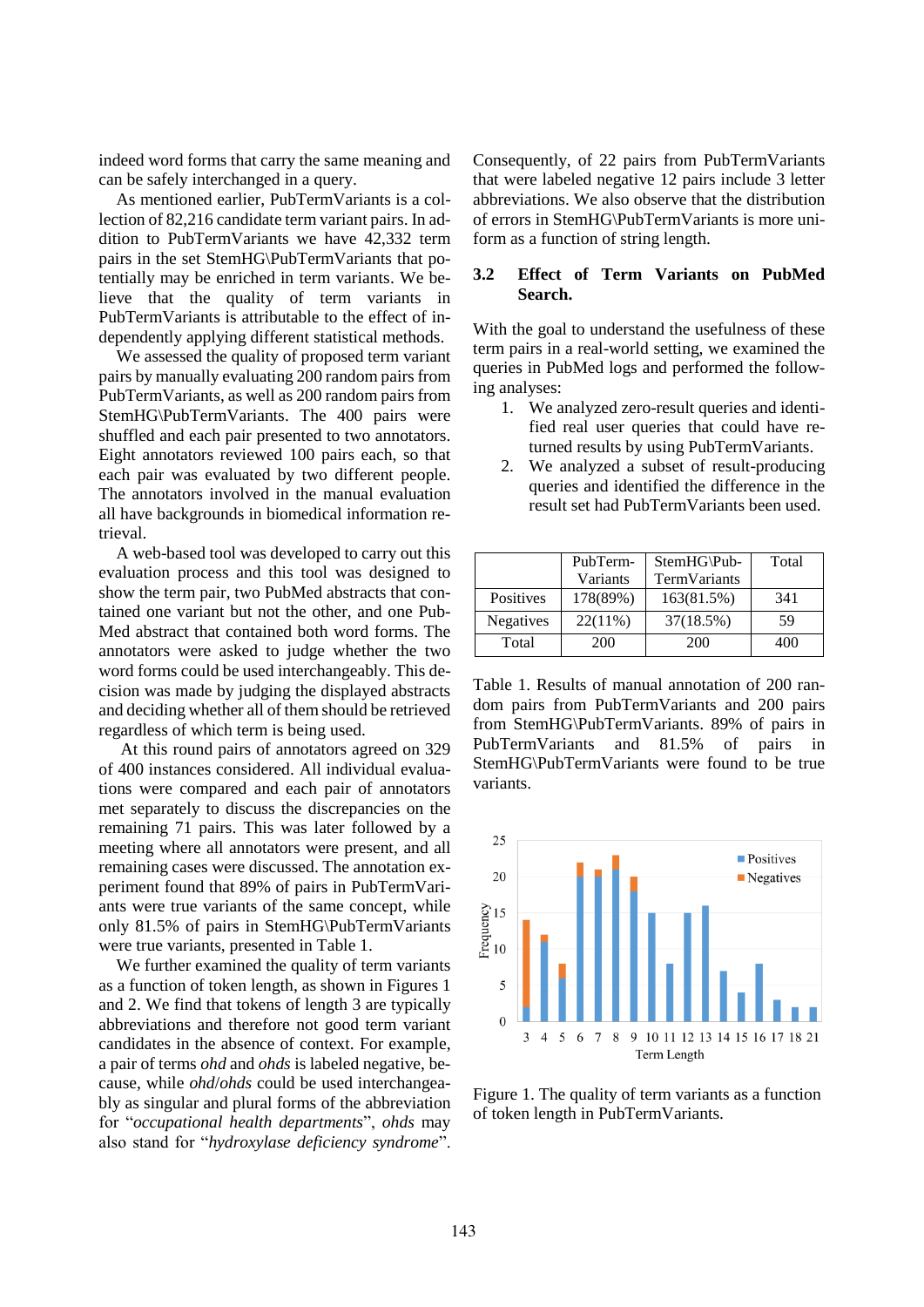indeed word forms that carry the same meaning and can be safely interchanged in a query.

As mentioned earlier, PubTermVariants is a collection of 82,216 candidate term variant pairs. In addition to PubTermVariants we have 42,332 term pairs in the set StemHG\PubTermVariants that potentially may be enriched in term variants. We believe that the quality of term variants in PubTermVariants is attributable to the effect of independently applying different statistical methods.

We assessed the quality of proposed term variant pairs by manually evaluating 200 random pairs from PubTermVariants, as well as 200 random pairs from StemHG\PubTermVariants. The 400 pairs were shuffled and each pair presented to two annotators. Eight annotators reviewed 100 pairs each, so that each pair was evaluated by two different people. The annotators involved in the manual evaluation all have backgrounds in biomedical information retrieval.

A web-based tool was developed to carry out this evaluation process and this tool was designed to show the term pair, two PubMed abstracts that contained one variant but not the other, and one Pub-Med abstract that contained both word forms. The annotators were asked to judge whether the two word forms could be used interchangeably. This decision was made by judging the displayed abstracts and deciding whether all of them should be retrieved regardless of which term is being used.

At this round pairs of annotators agreed on 329 of 400 instances considered. All individual evaluations were compared and each pair of annotators met separately to discuss the discrepancies on the remaining 71 pairs. This was later followed by a meeting where all annotators were present, and all remaining cases were discussed. The annotation experiment found that 89% of pairs in PubTermVariants were true variants of the same concept, while only 81.5% of pairs in StemHG\PubTermVariants were true variants, presented in Table 1.

We further examined the quality of term variants as a function of token length, as shown in Figures 1 and 2. We find that tokens of length 3 are typically abbreviations and therefore not good term variant candidates in the absence of context. For example, a pair of terms *ohd* and *ohds* is labeled negative, because, while *ohd*/*ohds* could be used interchangeably as singular and plural forms of the abbreviation for "*occupational health departments*", *ohds* may also stand for "*hydroxylase deficiency syndrome*". Consequently, of 22 pairs from PubTermVariants that were labeled negative 12 pairs include 3 letter abbreviations. We also observe that the distribution of errors in StemHG\PubTermVariants is more uniform as a function of string length.

#### **3.2 Effect of Term Variants on PubMed Search.**

With the goal to understand the usefulness of these term pairs in a real-world setting, we examined the queries in PubMed logs and performed the following analyses:

- 1. We analyzed zero-result queries and identified real user queries that could have returned results by using PubTermVariants.
- 2. We analyzed a subset of result-producing queries and identified the difference in the result set had PubTermVariants been used.

|           | PubTerm-   | StemHG\Pub-  | Total |
|-----------|------------|--------------|-------|
|           | Variants   | TermVariants |       |
| Positives | 178(89%)   | 163(81.5%)   | 341   |
| Negatives | $22(11\%)$ | 37(18.5%)    | 59    |
| Total     | 200        | 200          | 400   |

Table 1. Results of manual annotation of 200 random pairs from PubTermVariants and 200 pairs from StemHG\PubTermVariants. 89% of pairs in PubTermVariants and 81.5% of pairs in StemHG\PubTermVariants were found to be true variants.



Figure 1. The quality of term variants as a function of token length in PubTermVariants.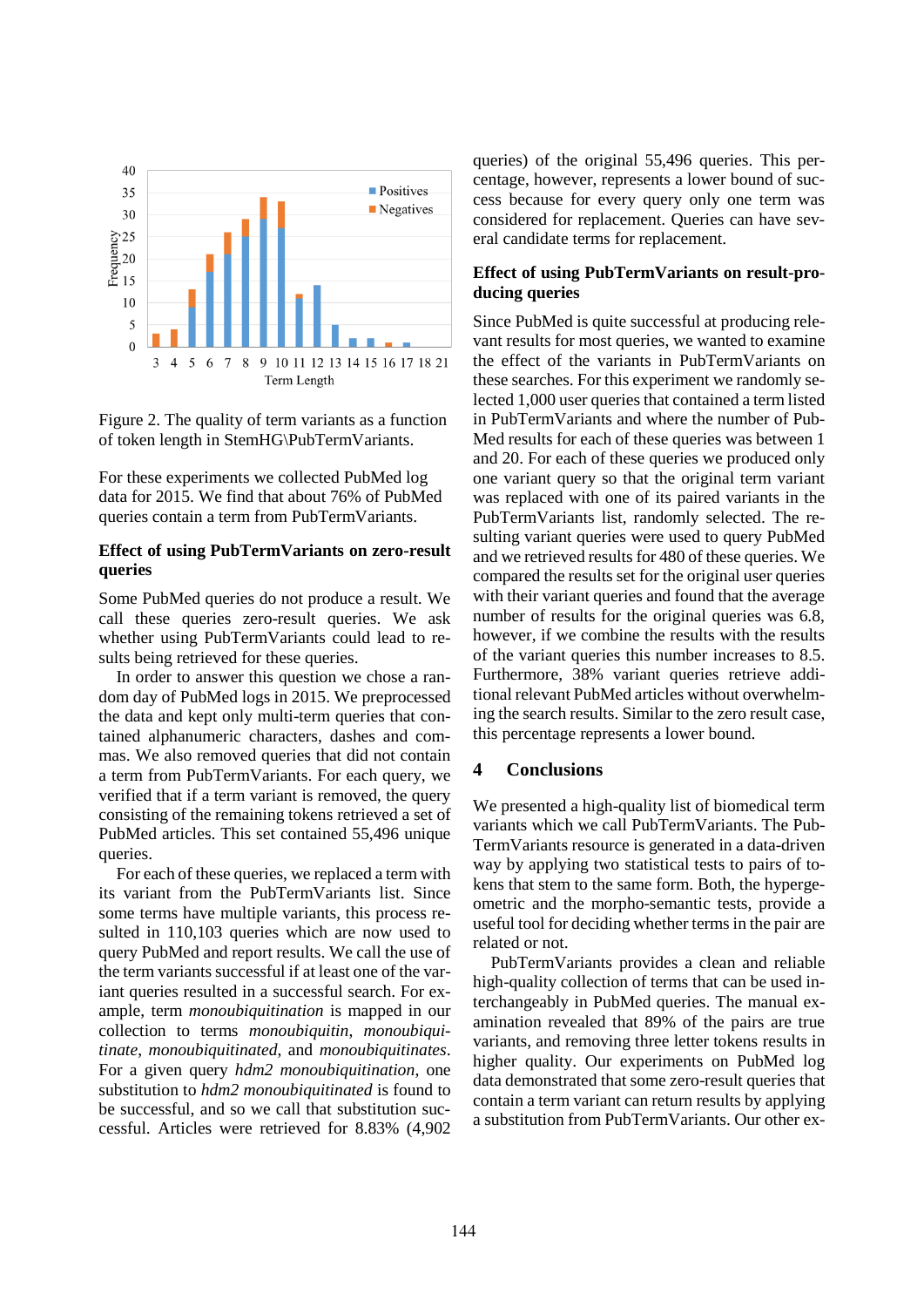

Figure 2. The quality of term variants as a function of token length in StemHG\PubTermVariants.

For these experiments we collected PubMed log data for 2015. We find that about 76% of PubMed queries contain a term from PubTermVariants.

#### **Effect of using PubTermVariants on zero-result queries**

Some PubMed queries do not produce a result. We call these queries zero-result queries. We ask whether using PubTermVariants could lead to results being retrieved for these queries.

In order to answer this question we chose a random day of PubMed logs in 2015. We preprocessed the data and kept only multi-term queries that contained alphanumeric characters, dashes and commas. We also removed queries that did not contain a term from PubTermVariants. For each query, we verified that if a term variant is removed, the query consisting of the remaining tokens retrieved a set of PubMed articles. This set contained 55,496 unique queries.

For each of these queries, we replaced a term with its variant from the PubTermVariants list. Since some terms have multiple variants, this process resulted in 110,103 queries which are now used to query PubMed and report results. We call the use of the term variants successful if at least one of the variant queries resulted in a successful search. For example, term *monoubiquitination* is mapped in our collection to terms *monoubiquitin*, *monoubiquitinate*, *monoubiquitinated*, and *monoubiquitinates*. For a given query *hdm2 monoubiquitination*, one substitution to *hdm2 monoubiquitinated* is found to be successful, and so we call that substitution successful. Articles were retrieved for 8.83% (4,902

queries) of the original 55,496 queries. This percentage, however, represents a lower bound of success because for every query only one term was considered for replacement. Queries can have several candidate terms for replacement.

## **Effect of using PubTermVariants on result-producing queries**

Since PubMed is quite successful at producing relevant results for most queries, we wanted to examine the effect of the variants in PubTermVariants on these searches. For this experiment we randomly selected 1,000 user queries that contained a term listed in PubTermVariants and where the number of Pub-Med results for each of these queries was between 1 and 20. For each of these queries we produced only one variant query so that the original term variant was replaced with one of its paired variants in the PubTermVariants list, randomly selected. The resulting variant queries were used to query PubMed and we retrieved results for 480 of these queries. We compared the results set for the original user queries with their variant queries and found that the average number of results for the original queries was 6.8, however, if we combine the results with the results of the variant queries this number increases to 8.5. Furthermore, 38% variant queries retrieve additional relevant PubMed articles without overwhelming the search results. Similar to the zero result case, this percentage represents a lower bound.

## **4 Conclusions**

We presented a high-quality list of biomedical term variants which we call PubTermVariants. The Pub-TermVariants resource is generated in a data-driven way by applying two statistical tests to pairs of tokens that stem to the same form. Both, the hypergeometric and the morpho-semantic tests, provide a useful tool for deciding whether terms in the pair are related or not.

PubTermVariants provides a clean and reliable high-quality collection of terms that can be used interchangeably in PubMed queries. The manual examination revealed that 89% of the pairs are true variants, and removing three letter tokens results in higher quality. Our experiments on PubMed log data demonstrated that some zero-result queries that contain a term variant can return results by applying a substitution from PubTermVariants. Our other ex-